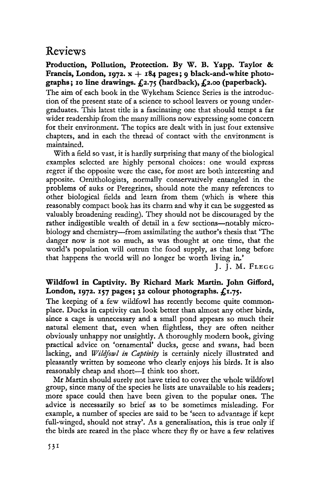## Reviews

**Production, Pollution, Protection. By W. B. Yapp. Taylor & Francis, London, 1972. x + 184 pages; 9 black-and-white photographs ; 10 line drawings. £2.75 (hardback), £2.00 (paperback).** 

The aim of each book in the Wykeham Science Series is the introduction of the present state of a science to school leavers or young undergraduates. This latest title is a fascinating one that should tempt a far wider readership from the many millions now expressing some concern for their environment. The topics are dealt with in just four extensive chapters, and in each the thread of contact with the environment is maintained.

With a field so vast, it is hardly surprising that many of the biological examples selected are highly personal choices: one would express regret if the opposite were the case, for most are both interesting and apposite. Ornithologists, normally conservatively entangled in the problems of auks or Peregrines, should note the many references to other biological fields and learn from them (which is where this reasonably compact book has its charm and why it can be suggested as valuably broadening reading). They should not be discouraged by the rather indigestible wealth of detail in a few sections—notably microbiology and chemistry—from assimilating the author's thesis that 'The danger now is not so much, as was thought at one time, that the world's population will outrun the food supply, as that long before that happens the world will no longer be worth living in.'

J. J. M. FLEGG

## **Wildfowl in Captivity. By Richard Mark Martin. John Gifford, London, 1972. 157 pages; 32 colour photographs. £1.75.**

The keeping of a few wildfowl has recently become quite commonplace. Ducks in captivity can look better than almost any other birds, since a cage is unnecessary and a small pond appears so much their natural element that, even when flightless, they are often neither obviously unhappy nor unsightly. A thoroughly modern book, giving practical advice on 'ornamental' ducks, geese and swans, had been lacking, and *Wildfowl in Captivity* is certainly nicely illustrated and pleasantly written by someone who clearly enjoys his birds. It is also reasonably cheap and short—I think too short.

Mr Martin should surely not have tried to cover the whole wildfowl group, since many of the species he lists are unavailable to his readers; more space could then have been given to the popular ones. The advice is necessarily so brief as to be sometimes misleading. For example, a number of species are said to be 'seen to advantage if kept full-winged, should not stray'. As a generalisation, this is true only if the birds are reared in the place where they fly or have a few relatives